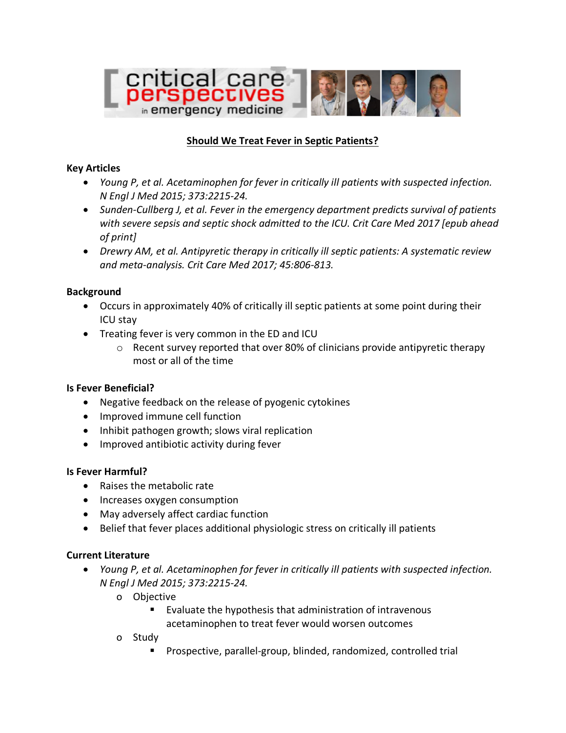

## **Should We Treat Fever in Septic Patients?**

#### **Key Articles**

- *Young P, et al. Acetaminophen for fever in critically ill patients with suspected infection. N Engl J Med 2015; 373:2215-24.*
- *Sunden-Cullberg J, et al. Fever in the emergency department predicts survival of patients with severe sepsis and septic shock admitted to the ICU. Crit Care Med 2017 [epub ahead of print]*
- *Drewry AM, et al. Antipyretic therapy in critically ill septic patients: A systematic review and meta-analysis. Crit Care Med 2017; 45:806-813.*

### **Background**

- Occurs in approximately 40% of critically ill septic patients at some point during their ICU stay
- Treating fever is very common in the ED and ICU
	- $\circ$  Recent survey reported that over 80% of clinicians provide antipyretic therapy most or all of the time

#### **Is Fever Beneficial?**

- Negative feedback on the release of pyogenic cytokines
- Improved immune cell function
- Inhibit pathogen growth; slows viral replication
- Improved antibiotic activity during fever

## **Is Fever Harmful?**

- Raises the metabolic rate
- Increases oxygen consumption
- May adversely affect cardiac function
- Belief that fever places additional physiologic stress on critically ill patients

## **Current Literature**

- *Young P, et al. Acetaminophen for fever in critically ill patients with suspected infection. N Engl J Med 2015; 373:2215-24.*
	- o Objective
		- Evaluate the hypothesis that administration of intravenous acetaminophen to treat fever would worsen outcomes
	- o Study
		- § Prospective, parallel-group, blinded, randomized, controlled trial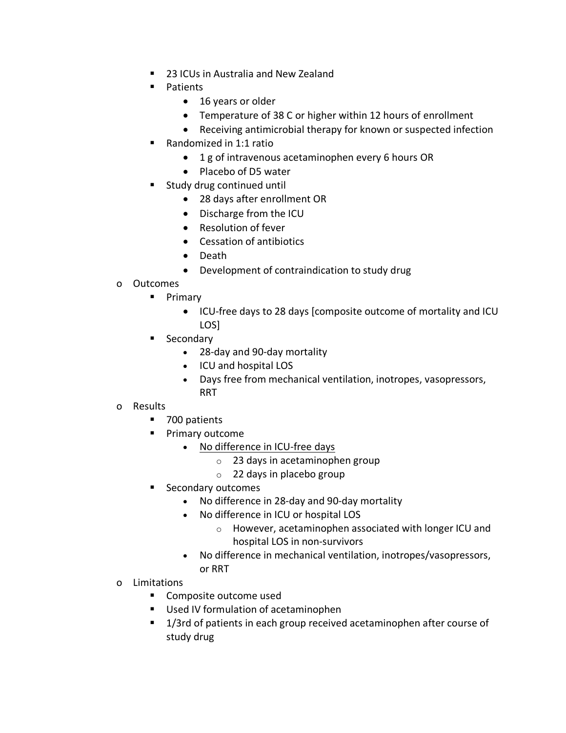- 23 ICUs in Australia and New Zealand
- Patients
	- 16 years or older
	- Temperature of 38 C or higher within 12 hours of enrollment
	- Receiving antimicrobial therapy for known or suspected infection
- § Randomized in 1:1 ratio
	- 1 g of intravenous acetaminophen every 6 hours OR
	- Placebo of D5 water
- Study drug continued until
	- 28 days after enrollment OR
	- Discharge from the ICU
	- Resolution of fever
	- Cessation of antibiotics
	- Death
	- Development of contraindication to study drug
- o Outcomes
	- Primary
		- ICU-free days to 28 days [composite outcome of mortality and ICU LOS]
	- Secondary
		- 28-day and 90-day mortality
		- ICU and hospital LOS
		- Days free from mechanical ventilation, inotropes, vasopressors, RRT

# o Results

- 700 patients
- § Primary outcome
	- No difference in ICU-free days
		- o 23 days in acetaminophen group
		- o 22 days in placebo group
- Secondary outcomes
	- No difference in 28-day and 90-day mortality
	- No difference in ICU or hospital LOS
		- o However, acetaminophen associated with longer ICU and hospital LOS in non-survivors
	- No difference in mechanical ventilation, inotropes/vasopressors, or RRT
- o Limitations
	- Composite outcome used
	- Used IV formulation of acetaminophen
	- 1/3rd of patients in each group received acetaminophen after course of study drug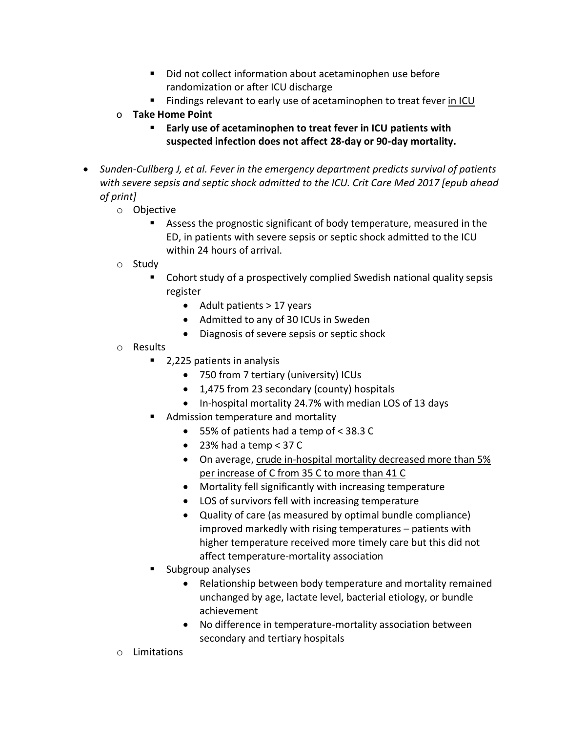- Did not collect information about acetaminophen use before randomization or after ICU discharge
- Findings relevant to early use of acetaminophen to treat fever in ICU
- o **Take Home Point**
	- Early use of acetaminophen to treat fever in ICU patients with **suspected infection does not affect 28-day or 90-day mortality.**
- *Sunden-Cullberg J, et al. Fever in the emergency department predicts survival of patients with severe sepsis and septic shock admitted to the ICU. Crit Care Med 2017 [epub ahead of print]*
	- o Objective
		- Assess the prognostic significant of body temperature, measured in the ED, in patients with severe sepsis or septic shock admitted to the ICU within 24 hours of arrival.
	- o Study
		- Cohort study of a prospectively complied Swedish national quality sepsis register
			- Adult patients > 17 years
			- Admitted to any of 30 ICUs in Sweden
			- Diagnosis of severe sepsis or septic shock
	- o Results
		- 2,225 patients in analysis
			- 750 from 7 tertiary (university) ICUs
			- 1,475 from 23 secondary (county) hospitals
			- In-hospital mortality 24.7% with median LOS of 13 days
		- Admission temperature and mortality
			- 55% of patients had a temp of < 38.3 C
			- $\bullet$  23% had a temp < 37 C
			- On average, crude in-hospital mortality decreased more than 5% per increase of C from 35 C to more than 41 C
			- Mortality fell significantly with increasing temperature
			- LOS of survivors fell with increasing temperature
			- Quality of care (as measured by optimal bundle compliance) improved markedly with rising temperatures – patients with higher temperature received more timely care but this did not affect temperature-mortality association
		- § Subgroup analyses
			- Relationship between body temperature and mortality remained unchanged by age, lactate level, bacterial etiology, or bundle achievement
			- No difference in temperature-mortality association between secondary and tertiary hospitals
	- o Limitations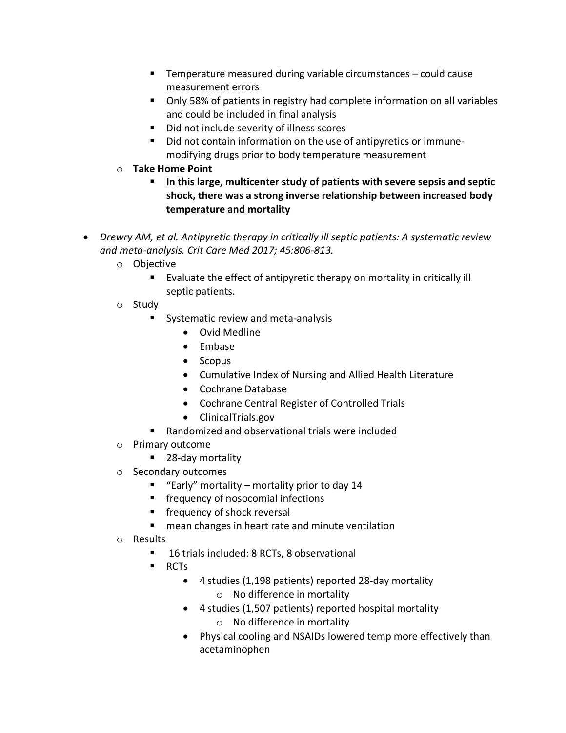- § Temperature measured during variable circumstances could cause measurement errors
- Only 58% of patients in registry had complete information on all variables and could be included in final analysis
- Did not include severity of illness scores
- Did not contain information on the use of antipyretics or immunemodifying drugs prior to body temperature measurement
- o **Take Home Point**
	- § **In this large, multicenter study of patients with severe sepsis and septic shock, there was a strong inverse relationship between increased body temperature and mortality**
- *Drewry AM, et al. Antipyretic therapy in critically ill septic patients: A systematic review and meta-analysis. Crit Care Med 2017; 45:806-813.*
	- o Objective
		- Evaluate the effect of antipyretic therapy on mortality in critically ill septic patients.
	- o Study
		- Systematic review and meta-analysis
			- Ovid Medline
			- Embase
			- Scopus
			- Cumulative Index of Nursing and Allied Health Literature
			- Cochrane Database
			- Cochrane Central Register of Controlled Trials
			- ClinicalTrials.gov
		- Randomized and observational trials were included
	- o Primary outcome
		- 28-day mortality
	- o Secondary outcomes
		- **Early** mortality mortality prior to day 14
		- frequency of nosocomial infections
		- **EX frequency of shock reversal**
		- mean changes in heart rate and minute ventilation
	- o Results
		- 16 trials included: 8 RCTs, 8 observational
		- RCTs
			- 4 studies (1,198 patients) reported 28-day mortality o No difference in mortality
			- 4 studies (1,507 patients) reported hospital mortality o No difference in mortality
			- Physical cooling and NSAIDs lowered temp more effectively than acetaminophen